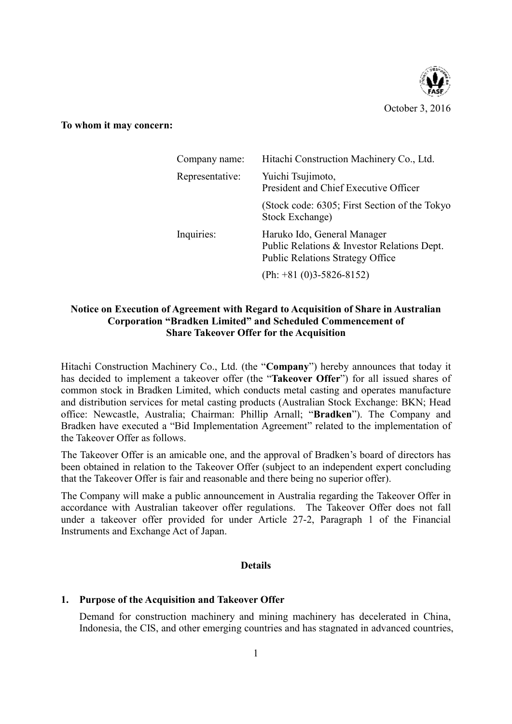

**To whom it may concern:**

| Company name:   | Hitachi Construction Machinery Co., Ltd.                                                                              |  |
|-----------------|-----------------------------------------------------------------------------------------------------------------------|--|
| Representative: | Yuichi Tsujimoto,<br>President and Chief Executive Officer                                                            |  |
|                 | (Stock code: 6305; First Section of the Tokyo<br>Stock Exchange)                                                      |  |
| Inquiries:      | Haruko Ido, General Manager<br>Public Relations & Investor Relations Dept.<br><b>Public Relations Strategy Office</b> |  |
|                 | $(\text{Ph}: +81 (0)3 - 5826 - 8152)$                                                                                 |  |

# **Notice on Execution of Agreement with Regard to Acquisition of Share in Australian Corporation "Bradken Limited" and Scheduled Commencement of Share Takeover Offer for the Acquisition**

Hitachi Construction Machinery Co., Ltd. (the "**Company**") hereby announces that today it has decided to implement a takeover offer (the "**Takeover Offer**") for all issued shares of common stock in Bradken Limited, which conducts metal casting and operates manufacture and distribution services for metal casting products (Australian Stock Exchange: BKN; Head office: Newcastle, Australia; Chairman: Phillip Arnall; "**Bradken**"). The Company and Bradken have executed a "Bid Implementation Agreement" related to the implementation of the Takeover Offer as follows.

The Takeover Offer is an amicable one, and the approval of Bradken's board of directors has been obtained in relation to the Takeover Offer (subject to an independent expert concluding that the Takeover Offer is fair and reasonable and there being no superior offer).

The Company will make a public announcement in Australia regarding the Takeover Offer in accordance with Australian takeover offer regulations. The Takeover Offer does not fall under a takeover offer provided for under Article 27-2, Paragraph 1 of the Financial Instruments and Exchange Act of Japan.

## **Details**

# **1. Purpose of the Acquisition and Takeover Offer**

Demand for construction machinery and mining machinery has decelerated in China, Indonesia, the CIS, and other emerging countries and has stagnated in advanced countries,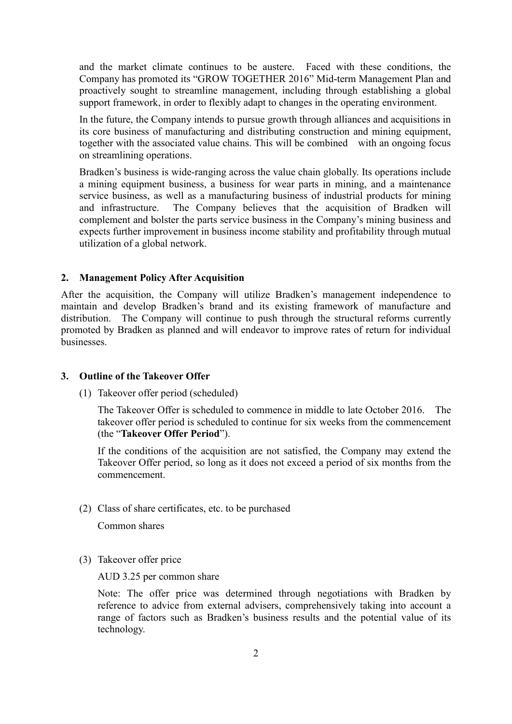and the market climate continues to be austere. Faced with these conditions, the Company has promoted its "GROW TOGETHER 2016" Mid-term Management Plan and proactively sought to streamline management, including through establishing a global support framework, in order to flexibly adapt to changes in the operating environment.

In the future, the Company intends to pursue growth through alliances and acquisitions in its core business of manufacturing and distributing construction and mining equipment, together with the associated value chains. This will be combined with an ongoing focus on streamlining operations.

Bradken's business is wide-ranging across the value chain globally. Its operations include a mining equipment business, a business for wear parts in mining, and a maintenance service business, as well as a manufacturing business of industrial products for mining and infrastructure. The Company believes that the acquisition of Bradken will complement and bolster the parts service business in the Company's mining business and expects further improvement in business income stability and profitability through mutual utilization of a global network.

## **2. Management Policy After Acquisition**

After the acquisition, the Company will utilize Bradken's management independence to maintain and develop Bradken's brand and its existing framework of manufacture and distribution. The Company will continue to push through the structural reforms currently promoted by Bradken as planned and will endeavor to improve rates of return for individual businesses.

## **3. Outline of the Takeover Offer**

(1) Takeover offer period (scheduled)

The Takeover Offer is scheduled to commence in middle to late October 2016. The takeover offer period is scheduled to continue for six weeks from the commencement (the "**Takeover Offer Period**").

If the conditions of the acquisition are not satisfied, the Company may extend the Takeover Offer period, so long as it does not exceed a period of six months from the commencement.

#### (2) Class of share certificates, etc. to be purchased

Common shares

(3) Takeover offer price

AUD 3.25 per common share

Note: The offer price was determined through negotiations with Bradken by reference to advice from external advisers, comprehensively taking into account a range of factors such as Bradken's business results and the potential value of its technology.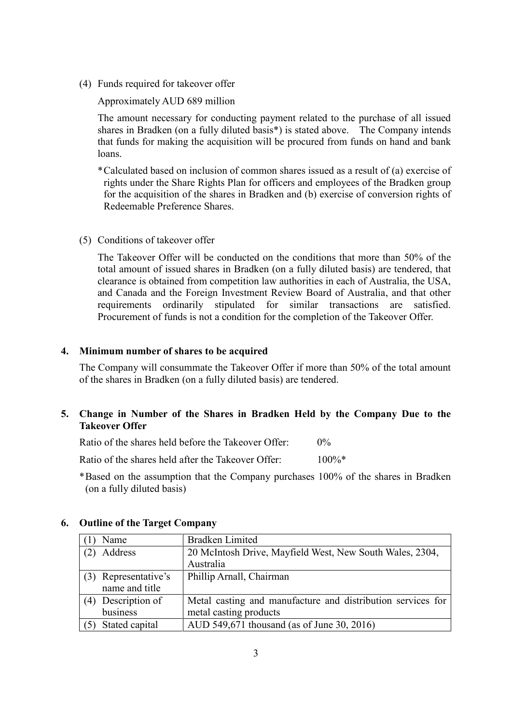(4) Funds required for takeover offer

## Approximately AUD 689 million

The amount necessary for conducting payment related to the purchase of all issued shares in Bradken (on a fully diluted basis\*) is stated above. The Company intends that funds for making the acquisition will be procured from funds on hand and bank loans.

- \*Calculated based on inclusion of common shares issued as a result of (a) exercise of rights under the Share Rights Plan for officers and employees of the Bradken group for the acquisition of the shares in Bradken and (b) exercise of conversion rights of Redeemable Preference Shares.
- (5) Conditions of takeover offer

The Takeover Offer will be conducted on the conditions that more than 50% of the total amount of issued shares in Bradken (on a fully diluted basis) are tendered, that clearance is obtained from competition law authorities in each of Australia, the USA, and Canada and the Foreign Investment Review Board of Australia, and that other requirements ordinarily stipulated for similar transactions are satisfied. Procurement of funds is not a condition for the completion of the Takeover Offer.

#### **4. Minimum number of shares to be acquired**

The Company will consummate the Takeover Offer if more than 50% of the total amount of the shares in Bradken (on a fully diluted basis) are tendered.

## **5. Change in Number of the Shares in Bradken Held by the Company Due to the Takeover Offer**

Ratio of the shares held before the Takeover Offer: 0%

Ratio of the shares held after the Takeover Offer: 100%\*

\*Based on the assumption that the Company purchases 100% of the shares in Bradken (on a fully diluted basis)

| Name                 | <b>Bradken Limited</b>                                      |  |  |
|----------------------|-------------------------------------------------------------|--|--|
| Address              | 20 McIntosh Drive, Mayfield West, New South Wales, 2304,    |  |  |
|                      | Australia                                                   |  |  |
| (3) Representative's | Phillip Arnall, Chairman                                    |  |  |
| name and title       |                                                             |  |  |
| (4) Description of   | Metal casting and manufacture and distribution services for |  |  |
| business             | metal casting products                                      |  |  |
| Stated capital       | AUD 549,671 thousand (as of June 30, 2016)                  |  |  |

## **6. Outline of the Target Company**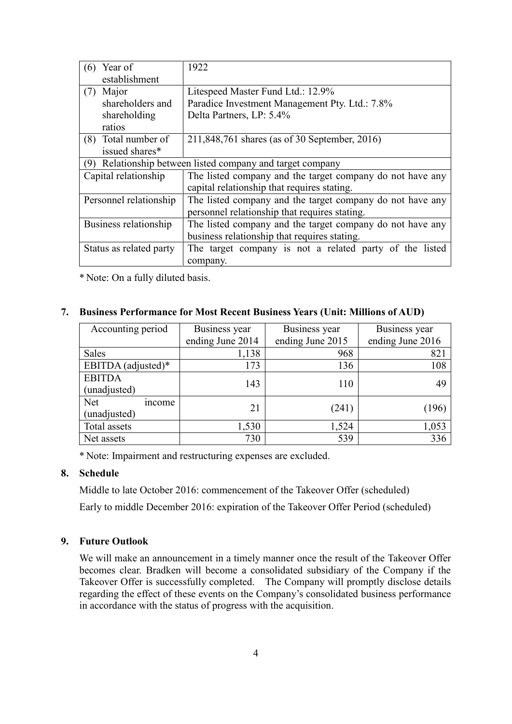| Year of<br>(6)                                                | 1922                                                      |  |  |  |
|---------------------------------------------------------------|-----------------------------------------------------------|--|--|--|
| establishment                                                 |                                                           |  |  |  |
| Major<br>(7)                                                  | Litespeed Master Fund Ltd.: 12.9%                         |  |  |  |
| shareholders and                                              | Paradice Investment Management Pty. Ltd.: 7.8%            |  |  |  |
| shareholding                                                  | Delta Partners, LP: 5.4%                                  |  |  |  |
| ratios                                                        |                                                           |  |  |  |
| (8) Total number of                                           | 211,848,761 shares (as of 30 September, 2016)             |  |  |  |
| issued shares*                                                |                                                           |  |  |  |
| Relationship between listed company and target company<br>(9) |                                                           |  |  |  |
| Capital relationship                                          | The listed company and the target company do not have any |  |  |  |
|                                                               | capital relationship that requires stating.               |  |  |  |
| Personnel relationship                                        | The listed company and the target company do not have any |  |  |  |
|                                                               | personnel relationship that requires stating.             |  |  |  |
| Business relationship                                         | The listed company and the target company do not have any |  |  |  |
|                                                               | business relationship that requires stating.              |  |  |  |
| Status as related party                                       | The target company is not a related party of the listed   |  |  |  |
|                                                               | company.                                                  |  |  |  |

\* Note: On a fully diluted basis.

#### **7. Business Performance for Most Recent Business Years (Unit: Millions of AUD)**

| Accounting period           | Business year    | Business year    | Business year    |
|-----------------------------|------------------|------------------|------------------|
|                             | ending June 2014 | ending June 2015 | ending June 2016 |
| Sales                       | 1,138            | 968              | 821              |
| EBITDA (adjusted)*          | 173              | 136              | 108              |
| <b>EBITDA</b>               | 143              | 110              | 49               |
| (unadjusted)                |                  |                  |                  |
| <b>Net</b><br><i>n</i> come | 21               | (241)            | (196)            |
| (unadjusted)                |                  |                  |                  |
| Total assets                | 1,530            | 1,524            | 1,053            |
| Net assets                  | 730              | 539              | 336              |

\* Note: Impairment and restructuring expenses are excluded.

## **8. Schedule**

Middle to late October 2016: commencement of the Takeover Offer (scheduled)

Early to middle December 2016: expiration of the Takeover Offer Period (scheduled)

## **9. Future Outlook**

We will make an announcement in a timely manner once the result of the Takeover Offer becomes clear. Bradken will become a consolidated subsidiary of the Company if the Takeover Offer is successfully completed. The Company will promptly disclose details regarding the effect of these events on the Company's consolidated business performance in accordance with the status of progress with the acquisition.